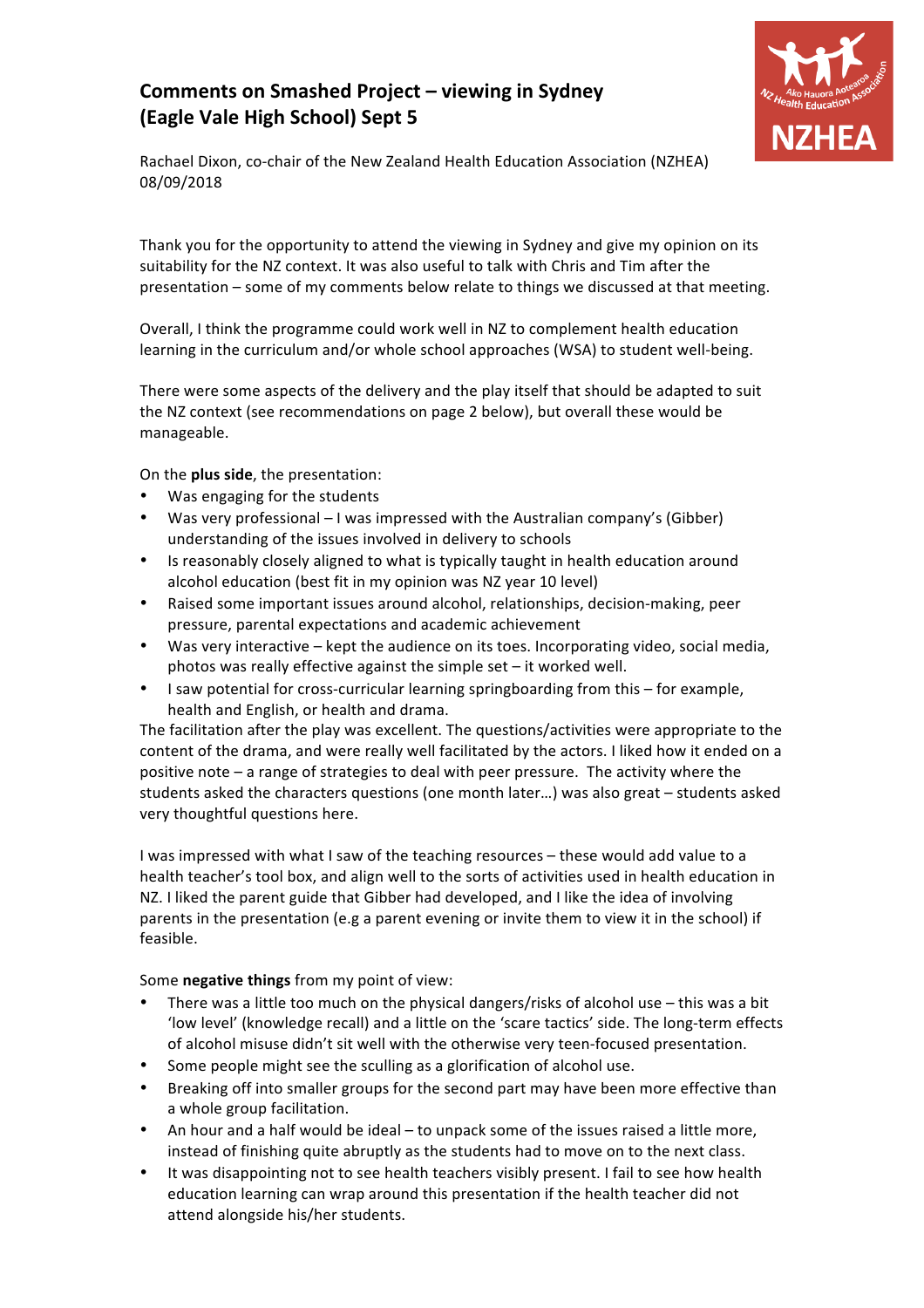## **Comments on Smashed Project - viewing in Sydney (Eagle Vale High School) Sept 5**



Rachael Dixon, co-chair of the New Zealand Health Education Association (NZHEA) 08/09/2018

Thank you for the opportunity to attend the viewing in Sydney and give my opinion on its suitability for the NZ context. It was also useful to talk with Chris and Tim after the presentation  $-$  some of my comments below relate to things we discussed at that meeting.

Overall, I think the programme could work well in NZ to complement health education learning in the curriculum and/or whole school approaches (WSA) to student well-being.

There were some aspects of the delivery and the play itself that should be adapted to suit the NZ context (see recommendations on page 2 below), but overall these would be manageable. 

On the **plus side**, the presentation:

- Was engaging for the students
- Was very professional I was impressed with the Australian company's (Gibber) understanding of the issues involved in delivery to schools
- Is reasonably closely aligned to what is typically taught in health education around alcohol education (best fit in my opinion was NZ year 10 level)
- Raised some important issues around alcohol, relationships, decision-making, peer pressure, parental expectations and academic achievement
- Was very interactive kept the audience on its toes. Incorporating video, social media, photos was really effective against the simple set  $-$  it worked well.
- I saw potential for cross-curricular learning springboarding from this for example, health and English, or health and drama.

The facilitation after the play was excellent. The questions/activities were appropriate to the content of the drama, and were really well facilitated by the actors. I liked how it ended on a positive note  $-$  a range of strategies to deal with peer pressure. The activity where the students asked the characters questions (one month later...) was also great  $-$  students asked very thoughtful questions here.

I was impressed with what I saw of the teaching resources – these would add value to a health teacher's tool box, and align well to the sorts of activities used in health education in NZ. I liked the parent guide that Gibber had developed, and I like the idea of involving parents in the presentation (e.g a parent evening or invite them to view it in the school) if feasible. 

Some **negative things** from my point of view:

- There was a little too much on the physical dangers/risks of alcohol use  $-$  this was a bit 'low level' (knowledge recall) and a little on the 'scare tactics' side. The long-term effects of alcohol misuse didn't sit well with the otherwise very teen-focused presentation.
- Some people might see the sculling as a glorification of alcohol use.
- Breaking off into smaller groups for the second part may have been more effective than a whole group facilitation.
- An hour and a half would be ideal  $-$  to unpack some of the issues raised a little more, instead of finishing quite abruptly as the students had to move on to the next class.
- It was disappointing not to see health teachers visibly present. I fail to see how health education learning can wrap around this presentation if the health teacher did not attend alongside his/her students.